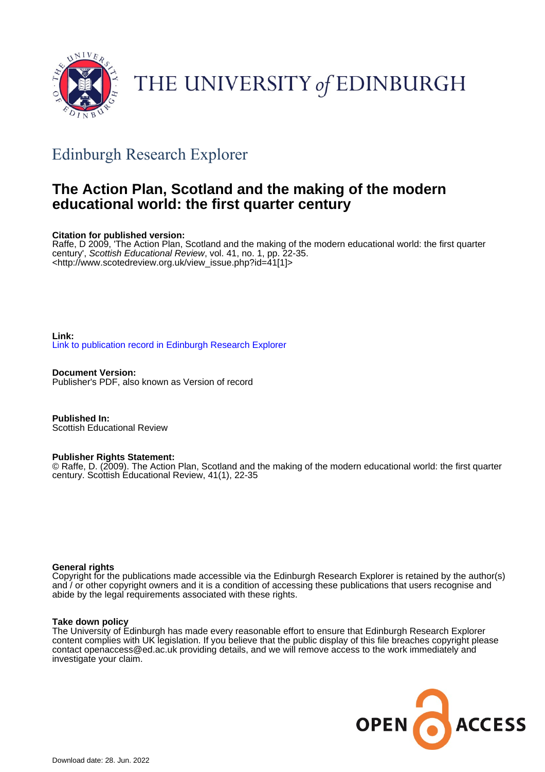

# THE UNIVERSITY of EDINBURGH

# Edinburgh Research Explorer

## **The Action Plan, Scotland and the making of the modern educational world: the first quarter century**

#### **Citation for published version:**

Raffe, D 2009, 'The Action Plan, Scotland and the making of the modern educational world: the first quarter century', Scottish Educational Review, vol. 41, no. 1, pp. 22-35. <[http://www.scotedreview.org.uk/view\\_issue.php?id=41\[1\]>](http://www.scotedreview.org.uk/view_issue.php?id=41[1])

**Link:** [Link to publication record in Edinburgh Research Explorer](https://www.research.ed.ac.uk/en/publications/927e8e3d-3c05-4c06-b42d-7b0fd382f4b7)

**Document Version:** Publisher's PDF, also known as Version of record

**Published In:** Scottish Educational Review

#### **Publisher Rights Statement:**

© Raffe, D. (2009). The Action Plan, Scotland and the making of the modern educational world: the first quarter century. Scottish Educational Review, 41(1), 22-35

#### **General rights**

Copyright for the publications made accessible via the Edinburgh Research Explorer is retained by the author(s) and / or other copyright owners and it is a condition of accessing these publications that users recognise and abide by the legal requirements associated with these rights.

#### **Take down policy**

The University of Edinburgh has made every reasonable effort to ensure that Edinburgh Research Explorer content complies with UK legislation. If you believe that the public display of this file breaches copyright please contact openaccess@ed.ac.uk providing details, and we will remove access to the work immediately and investigate your claim.

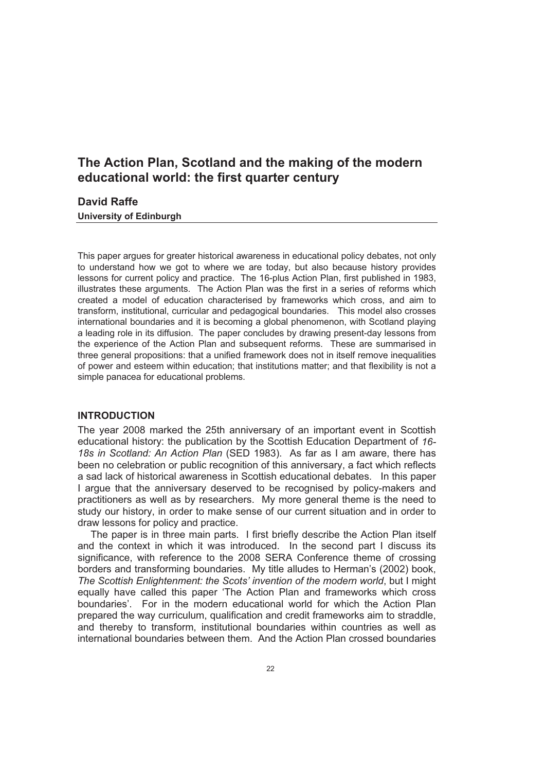### **The Action Plan, Scotland and the making of the modern educational world: the first quarter century**

#### **David Raffe**

**University of Edinburgh**

This paper argues for greater historical awareness in educational policy debates, not only to understand how we got to where we are today, but also because history provides lessons for current policy and practice. The 16-plus Action Plan, first published in 1983, illustrates these arguments. The Action Plan was the first in a series of reforms which created a model of education characterised by frameworks which cross, and aim to transform, institutional, curricular and pedagogical boundaries. This model also crosses international boundaries and it is becoming a global phenomenon, with Scotland playing a leading role in its diffusion. The paper concludes by drawing present-day lessons from the experience of the Action Plan and subsequent reforms. These are summarised in three general propositions: that a unified framework does not in itself remove inequalities of power and esteem within education; that institutions matter; and that flexibility is not a simple panacea for educational problems.

#### **INTRODUCTION**

The year 2008 marked the 25th anniversary of an important event in Scottish educational history: the publication by the Scottish Education Department of *16- 18s in Scotland: An Action Plan* (SED 1983). As far as I am aware, there has been no celebration or public recognition of this anniversary, a fact which reflects a sad lack of historical awareness in Scottish educational debates. In this paper I argue that the anniversary deserved to be recognised by policy-makers and practitioners as well as by researchers. My more general theme is the need to study our history, in order to make sense of our current situation and in order to draw lessons for policy and practice.

The paper is in three main parts. I first briefly describe the Action Plan itself and the context in which it was introduced. In the second part I discuss its significance, with reference to the 2008 SERA Conference theme of crossing borders and transforming boundaries. My title alludes to Herman's (2002) book, *The Scottish Enlightenment: the Scots' invention of the modern world*, but I might equally have called this paper 'The Action Plan and frameworks which cross boundaries'. For in the modern educational world for which the Action Plan prepared the way curriculum, qualification and credit frameworks aim to straddle, and thereby to transform, institutional boundaries within countries as well as international boundaries between them. And the Action Plan crossed boundaries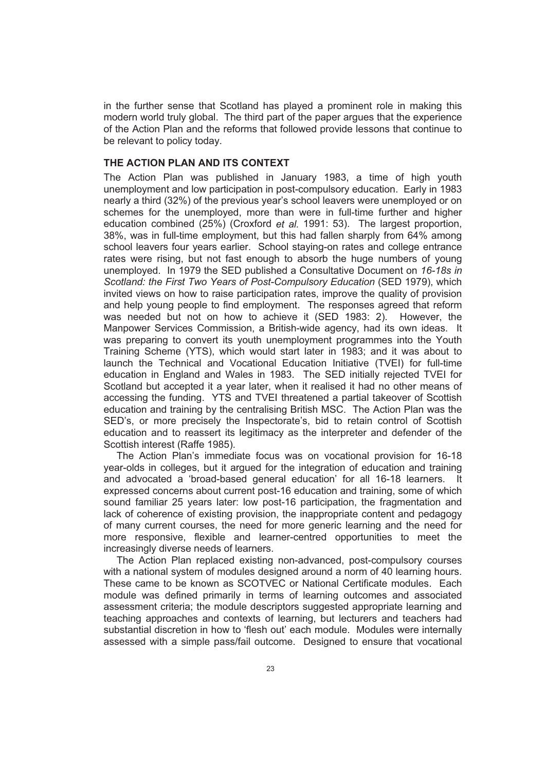in the further sense that Scotland has played a prominent role in making this modern world truly global. The third part of the paper argues that the experience of the Action Plan and the reforms that followed provide lessons that continue to be relevant to policy today.

#### **THE ACTION PLAN AND ITS CONTEXT**

The Action Plan was published in January 1983, a time of high youth unemployment and low participation in post-compulsory education. Early in 1983 nearly a third (32%) of the previous year's school leavers were unemployed or on schemes for the unemployed, more than were in full-time further and higher education combined (25%) (Croxford *et al.* 1991: 53). The largest proportion, 38%, was in full-time employment, but this had fallen sharply from 64% among school leavers four years earlier. School staying-on rates and college entrance rates were rising, but not fast enough to absorb the huge numbers of young unemployed. In 1979 the SED published a Consultative Document on *16-18s in Scotland: the First Two Years of Post-Compulsory Education* (SED 1979), which invited views on how to raise participation rates, improve the quality of provision and help young people to find employment. The responses agreed that reform was needed but not on how to achieve it (SED 1983: 2). However, the Manpower Services Commission, a British-wide agency, had its own ideas. It was preparing to convert its youth unemployment programmes into the Youth Training Scheme (YTS), which would start later in 1983; and it was about to launch the Technical and Vocational Education Initiative (TVEI) for full-time education in England and Wales in 1983. The SED initially rejected TVEI for Scotland but accepted it a year later, when it realised it had no other means of accessing the funding. YTS and TVEI threatened a partial takeover of Scottish education and training by the centralising British MSC. The Action Plan was the SED's, or more precisely the Inspectorate's, bid to retain control of Scottish education and to reassert its legitimacy as the interpreter and defender of the Scottish interest (Raffe 1985).

The Action Plan's immediate focus was on vocational provision for 16-18 year-olds in colleges, but it argued for the integration of education and training and advocated a 'broad-based general education' for all 16-18 learners. It expressed concerns about current post-16 education and training, some of which sound familiar 25 years later: low post-16 participation, the fragmentation and lack of coherence of existing provision, the inappropriate content and pedagogy of many current courses, the need for more generic learning and the need for more responsive, flexible and learner-centred opportunities to meet the increasingly diverse needs of learners.

The Action Plan replaced existing non-advanced, post-compulsory courses with a national system of modules designed around a norm of 40 learning hours. These came to be known as SCOTVEC or National Certificate modules. Each module was defined primarily in terms of learning outcomes and associated assessment criteria; the module descriptors suggested appropriate learning and teaching approaches and contexts of learning, but lecturers and teachers had substantial discretion in how to 'flesh out' each module. Modules were internally assessed with a simple pass/fail outcome. Designed to ensure that vocational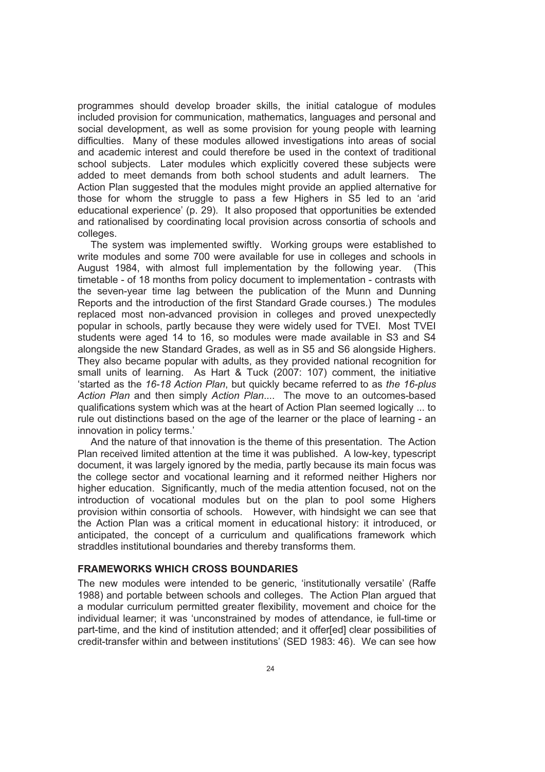programmes should develop broader skills, the initial catalogue of modules included provision for communication, mathematics, languages and personal and social development, as well as some provision for young people with learning difficulties. Many of these modules allowed investigations into areas of social and academic interest and could therefore be used in the context of traditional school subjects. Later modules which explicitly covered these subjects were added to meet demands from both school students and adult learners. The Action Plan suggested that the modules might provide an applied alternative for those for whom the struggle to pass a few Highers in S5 led to an 'arid educational experience' (p. 29). It also proposed that opportunities be extended and rationalised by coordinating local provision across consortia of schools and colleges.

The system was implemented swiftly. Working groups were established to write modules and some 700 were available for use in colleges and schools in August 1984, with almost full implementation by the following year. (This timetable - of 18 months from policy document to implementation - contrasts with the seven-year time lag between the publication of the Munn and Dunning Reports and the introduction of the first Standard Grade courses.) The modules replaced most non-advanced provision in colleges and proved unexpectedly popular in schools, partly because they were widely used for TVEI. Most TVEI students were aged 14 to 16, so modules were made available in S3 and S4 alongside the new Standard Grades, as well as in S5 and S6 alongside Highers. They also became popular with adults, as they provided national recognition for small units of learning. As Hart & Tuck (2007: 107) comment, the initiative 'started as the *16-18 Action Plan*, but quickly became referred to as *the 16-plus Action Plan* and then simply *Action Plan*.... The move to an outcomes-based qualifications system which was at the heart of Action Plan seemed logically ... to rule out distinctions based on the age of the learner or the place of learning - an innovation in policy terms.'

And the nature of that innovation is the theme of this presentation. The Action Plan received limited attention at the time it was published. A low-key, typescript document, it was largely ignored by the media, partly because its main focus was the college sector and vocational learning and it reformed neither Highers nor higher education. Significantly, much of the media attention focused, not on the introduction of vocational modules but on the plan to pool some Highers provision within consortia of schools. However, with hindsight we can see that the Action Plan was a critical moment in educational history: it introduced, or anticipated, the concept of a curriculum and qualifications framework which straddles institutional boundaries and thereby transforms them.

#### **FRAMEWORKS WHICH CROSS BOUNDARIES**

The new modules were intended to be generic, 'institutionally versatile' (Raffe 1988) and portable between schools and colleges. The Action Plan argued that a modular curriculum permitted greater flexibility, movement and choice for the individual learner; it was 'unconstrained by modes of attendance, ie full-time or part-time, and the kind of institution attended; and it offer[ed] clear possibilities of credit-transfer within and between institutions' (SED 1983: 46). We can see how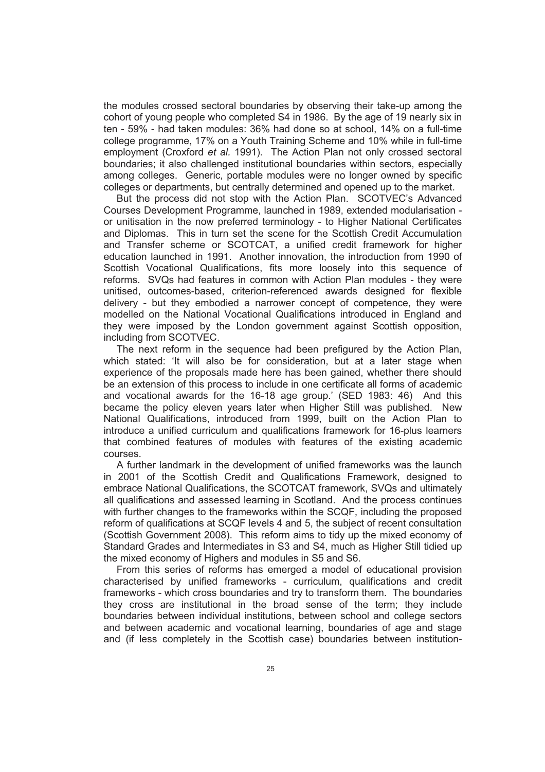the modules crossed sectoral boundaries by observing their take-up among the cohort of young people who completed S4 in 1986. By the age of 19 nearly six in ten - 59% - had taken modules: 36% had done so at school, 14% on a full-time college programme, 17% on a Youth Training Scheme and 10% while in full-time employment (Croxford *et al.* 1991). The Action Plan not only crossed sectoral boundaries; it also challenged institutional boundaries within sectors, especially among colleges. Generic, portable modules were no longer owned by specific colleges or departments, but centrally determined and opened up to the market.

But the process did not stop with the Action Plan. SCOTVEC's Advanced Courses Development Programme, launched in 1989, extended modularisation or unitisation in the now preferred terminology - to Higher National Certificates and Diplomas. This in turn set the scene for the Scottish Credit Accumulation and Transfer scheme or SCOTCAT, a unified credit framework for higher education launched in 1991. Another innovation, the introduction from 1990 of Scottish Vocational Qualifications, fits more loosely into this sequence of reforms. SVQs had features in common with Action Plan modules - they were unitised, outcomes-based, criterion-referenced awards designed for flexible delivery - but they embodied a narrower concept of competence, they were modelled on the National Vocational Qualifications introduced in England and they were imposed by the London government against Scottish opposition, including from SCOTVEC.

The next reform in the sequence had been prefigured by the Action Plan, which stated: 'It will also be for consideration, but at a later stage when experience of the proposals made here has been gained, whether there should be an extension of this process to include in one certificate all forms of academic and vocational awards for the 16-18 age group.' (SED 1983: 46) And this became the policy eleven years later when Higher Still was published. New National Qualifications, introduced from 1999, built on the Action Plan to introduce a unified curriculum and qualifications framework for 16-plus learners that combined features of modules with features of the existing academic courses.

A further landmark in the development of unified frameworks was the launch in 2001 of the Scottish Credit and Qualifications Framework, designed to embrace National Qualifications, the SCOTCAT framework, SVQs and ultimately all qualifications and assessed learning in Scotland. And the process continues with further changes to the frameworks within the SCQF, including the proposed reform of qualifications at SCQF levels 4 and 5, the subject of recent consultation (Scottish Government 2008). This reform aims to tidy up the mixed economy of Standard Grades and Intermediates in S3 and S4, much as Higher Still tidied up the mixed economy of Highers and modules in S5 and S6.

From this series of reforms has emerged a model of educational provision characterised by unified frameworks - curriculum, qualifications and credit frameworks - which cross boundaries and try to transform them. The boundaries they cross are institutional in the broad sense of the term; they include boundaries between individual institutions, between school and college sectors and between academic and vocational learning, boundaries of age and stage and (if less completely in the Scottish case) boundaries between institution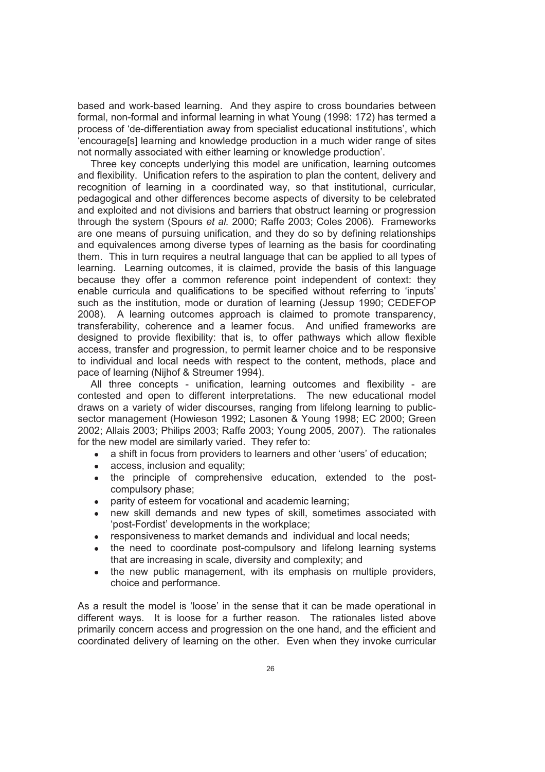based and work-based learning. And they aspire to cross boundaries between formal, non-formal and informal learning in what Young (1998: 172) has termed a process of 'de-differentiation away from specialist educational institutions', which 'encourage[s] learning and knowledge production in a much wider range of sites not normally associated with either learning or knowledge production'.

Three key concepts underlying this model are unification, learning outcomes and flexibility. Unification refers to the aspiration to plan the content, delivery and recognition of learning in a coordinated way, so that institutional, curricular, pedagogical and other differences become aspects of diversity to be celebrated and exploited and not divisions and barriers that obstruct learning or progression through the system (Spours *et al.* 2000; Raffe 2003; Coles 2006). Frameworks are one means of pursuing unification, and they do so by defining relationships and equivalences among diverse types of learning as the basis for coordinating them. This in turn requires a neutral language that can be applied to all types of learning. Learning outcomes, it is claimed, provide the basis of this language because they offer a common reference point independent of context: they enable curricula and qualifications to be specified without referring to 'inputs' such as the institution, mode or duration of learning (Jessup 1990; CEDEFOP 2008). A learning outcomes approach is claimed to promote transparency, transferability, coherence and a learner focus. And unified frameworks are designed to provide flexibility: that is, to offer pathways which allow flexible access, transfer and progression, to permit learner choice and to be responsive to individual and local needs with respect to the content, methods, place and pace of learning (Nijhof & Streumer 1994).

All three concepts - unification, learning outcomes and flexibility - are contested and open to different interpretations. The new educational model draws on a variety of wider discourses, ranging from lifelong learning to publicsector management (Howieson 1992; Lasonen & Young 1998; EC 2000; Green 2002; Allais 2003; Philips 2003; Raffe 2003; Young 2005, 2007). The rationales for the new model are similarly varied. They refer to:

- a shift in focus from providers to learners and other 'users' of education;
- access, inclusion and equality;
- the principle of comprehensive education, extended to the postcompulsory phase;
- parity of esteem for vocational and academic learning;
- new skill demands and new types of skill, sometimes associated with 'post-Fordist' developments in the workplace;
- responsiveness to market demands and individual and local needs;
- the need to coordinate post-compulsory and lifelong learning systems that are increasing in scale, diversity and complexity; and
- the new public management, with its emphasis on multiple providers, choice and performance.

As a result the model is 'loose' in the sense that it can be made operational in different ways. It is loose for a further reason. The rationales listed above primarily concern access and progression on the one hand, and the efficient and coordinated delivery of learning on the other. Even when they invoke curricular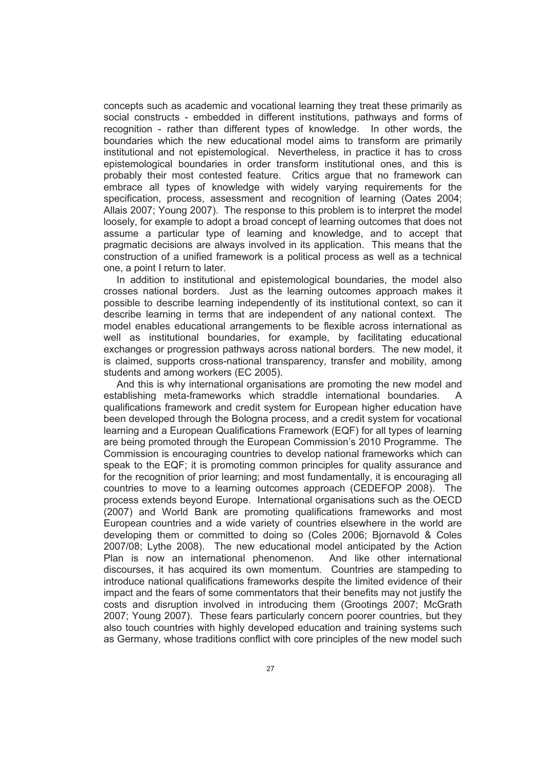concepts such as academic and vocational learning they treat these primarily as social constructs - embedded in different institutions, pathways and forms of recognition - rather than different types of knowledge. In other words, the boundaries which the new educational model aims to transform are primarily institutional and not epistemological. Nevertheless, in practice it has to cross epistemological boundaries in order transform institutional ones, and this is probably their most contested feature. Critics argue that no framework can embrace all types of knowledge with widely varying requirements for the specification, process, assessment and recognition of learning (Oates 2004; Allais 2007; Young 2007). The response to this problem is to interpret the model loosely, for example to adopt a broad concept of learning outcomes that does not assume a particular type of learning and knowledge, and to accept that pragmatic decisions are always involved in its application. This means that the construction of a unified framework is a political process as well as a technical one, a point I return to later.

In addition to institutional and epistemological boundaries, the model also crosses national borders. Just as the learning outcomes approach makes it possible to describe learning independently of its institutional context, so can it describe learning in terms that are independent of any national context. The model enables educational arrangements to be flexible across international as well as institutional boundaries, for example, by facilitating educational exchanges or progression pathways across national borders. The new model, it is claimed, supports cross-national transparency, transfer and mobility, among students and among workers (EC 2005).

And this is why international organisations are promoting the new model and establishing meta-frameworks which straddle international boundaries. A qualifications framework and credit system for European higher education have been developed through the Bologna process, and a credit system for vocational learning and a European Qualifications Framework (EQF) for all types of learning are being promoted through the European Commission's 2010 Programme. The Commission is encouraging countries to develop national frameworks which can speak to the EQF; it is promoting common principles for quality assurance and for the recognition of prior learning; and most fundamentally, it is encouraging all countries to move to a learning outcomes approach (CEDEFOP 2008). The process extends beyond Europe. International organisations such as the OECD (2007) and World Bank are promoting qualifications frameworks and most European countries and a wide variety of countries elsewhere in the world are developing them or committed to doing so (Coles 2006; Bjornavold & Coles 2007/08; Lythe 2008). The new educational model anticipated by the Action Plan is now an international phenomenon. And like other international discourses, it has acquired its own momentum. Countries are stampeding to introduce national qualifications frameworks despite the limited evidence of their impact and the fears of some commentators that their benefits may not justify the costs and disruption involved in introducing them (Grootings 2007; McGrath 2007; Young 2007). These fears particularly concern poorer countries, but they also touch countries with highly developed education and training systems such as Germany, whose traditions conflict with core principles of the new model such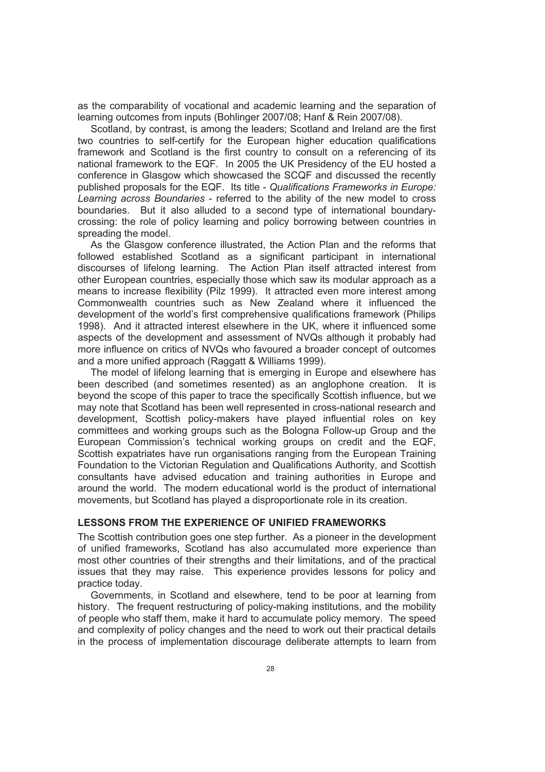as the comparability of vocational and academic learning and the separation of learning outcomes from inputs (Bohlinger 2007/08; Hanf & Rein 2007/08).

Scotland, by contrast, is among the leaders; Scotland and Ireland are the first two countries to self-certify for the European higher education qualifications framework and Scotland is the first country to consult on a referencing of its national framework to the EQF. In 2005 the UK Presidency of the EU hosted a conference in Glasgow which showcased the SCQF and discussed the recently published proposals for the EQF. Its title - *Qualifications Frameworks in Europe: Learning across Boundaries* - referred to the ability of the new model to cross boundaries. But it also alluded to a second type of international boundarycrossing: the role of policy learning and policy borrowing between countries in spreading the model.

As the Glasgow conference illustrated, the Action Plan and the reforms that followed established Scotland as a significant participant in international discourses of lifelong learning. The Action Plan itself attracted interest from other European countries, especially those which saw its modular approach as a means to increase flexibility (Pilz 1999). It attracted even more interest among Commonwealth countries such as New Zealand where it influenced the development of the world's first comprehensive qualifications framework (Philips 1998). And it attracted interest elsewhere in the UK, where it influenced some aspects of the development and assessment of NVQs although it probably had more influence on critics of NVQs who favoured a broader concept of outcomes and a more unified approach (Raggatt & Williams 1999).

The model of lifelong learning that is emerging in Europe and elsewhere has been described (and sometimes resented) as an anglophone creation. It is beyond the scope of this paper to trace the specifically Scottish influence, but we may note that Scotland has been well represented in cross-national research and development, Scottish policy-makers have played influential roles on key committees and working groups such as the Bologna Follow-up Group and the European Commission's technical working groups on credit and the EQF, Scottish expatriates have run organisations ranging from the European Training Foundation to the Victorian Regulation and Qualifications Authority, and Scottish consultants have advised education and training authorities in Europe and around the world. The modern educational world is the product of international movements, but Scotland has played a disproportionate role in its creation.

#### **LESSONS FROM THE EXPERIENCE OF UNIFIED FRAMEWORKS**

The Scottish contribution goes one step further. As a pioneer in the development of unified frameworks, Scotland has also accumulated more experience than most other countries of their strengths and their limitations, and of the practical issues that they may raise. This experience provides lessons for policy and practice today.

Governments, in Scotland and elsewhere, tend to be poor at learning from history. The frequent restructuring of policy-making institutions, and the mobility of people who staff them, make it hard to accumulate policy memory. The speed and complexity of policy changes and the need to work out their practical details in the process of implementation discourage deliberate attempts to learn from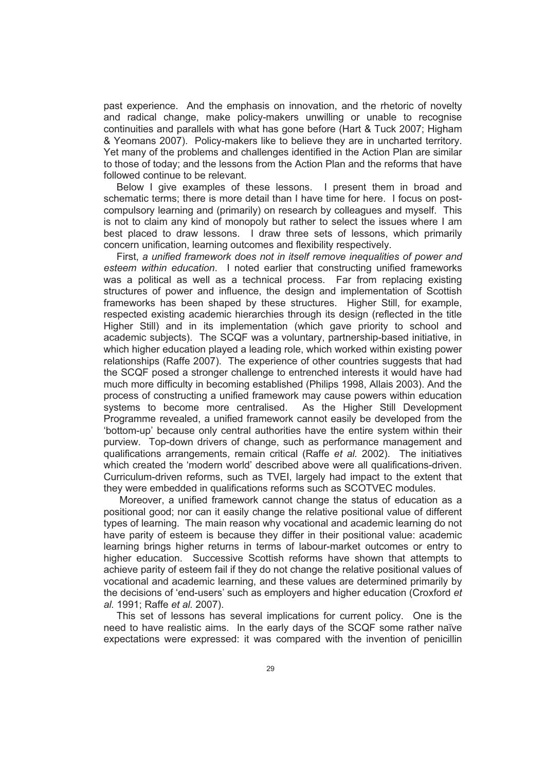past experience. And the emphasis on innovation, and the rhetoric of novelty and radical change, make policy-makers unwilling or unable to recognise continuities and parallels with what has gone before (Hart & Tuck 2007; Higham & Yeomans 2007). Policy-makers like to believe they are in uncharted territory. Yet many of the problems and challenges identified in the Action Plan are similar to those of today; and the lessons from the Action Plan and the reforms that have followed continue to be relevant.

Below I give examples of these lessons. I present them in broad and schematic terms; there is more detail than I have time for here. I focus on postcompulsory learning and (primarily) on research by colleagues and myself. This is not to claim any kind of monopoly but rather to select the issues where I am best placed to draw lessons. I draw three sets of lessons, which primarily concern unification, learning outcomes and flexibility respectively.

First, *a unified framework does not in itself remove inequalities of power and esteem within education*. I noted earlier that constructing unified frameworks was a political as well as a technical process. Far from replacing existing structures of power and influence, the design and implementation of Scottish frameworks has been shaped by these structures. Higher Still, for example, respected existing academic hierarchies through its design (reflected in the title Higher Still) and in its implementation (which gave priority to school and academic subjects). The SCQF was a voluntary, partnership-based initiative, in which higher education played a leading role, which worked within existing power relationships (Raffe 2007). The experience of other countries suggests that had the SCQF posed a stronger challenge to entrenched interests it would have had much more difficulty in becoming established (Philips 1998, Allais 2003). And the process of constructing a unified framework may cause powers within education systems to become more centralised. As the Higher Still Development systems to become more centralised. Programme revealed, a unified framework cannot easily be developed from the 'bottom-up' because only central authorities have the entire system within their purview. Top-down drivers of change, such as performance management and qualifications arrangements, remain critical (Raffe *et al.* 2002). The initiatives which created the 'modern world' described above were all qualifications-driven. Curriculum-driven reforms, such as TVEI, largely had impact to the extent that they were embedded in qualifications reforms such as SCOTVEC modules.

 Moreover, a unified framework cannot change the status of education as a positional good; nor can it easily change the relative positional value of different types of learning. The main reason why vocational and academic learning do not have parity of esteem is because they differ in their positional value: academic learning brings higher returns in terms of labour-market outcomes or entry to higher education. Successive Scottish reforms have shown that attempts to achieve parity of esteem fail if they do not change the relative positional values of vocational and academic learning, and these values are determined primarily by the decisions of 'end-users' such as employers and higher education (Croxford *et al.* 1991; Raffe *et al.* 2007).

This set of lessons has several implications for current policy. One is the need to have realistic aims. In the early days of the SCQF some rather naïve expectations were expressed: it was compared with the invention of penicillin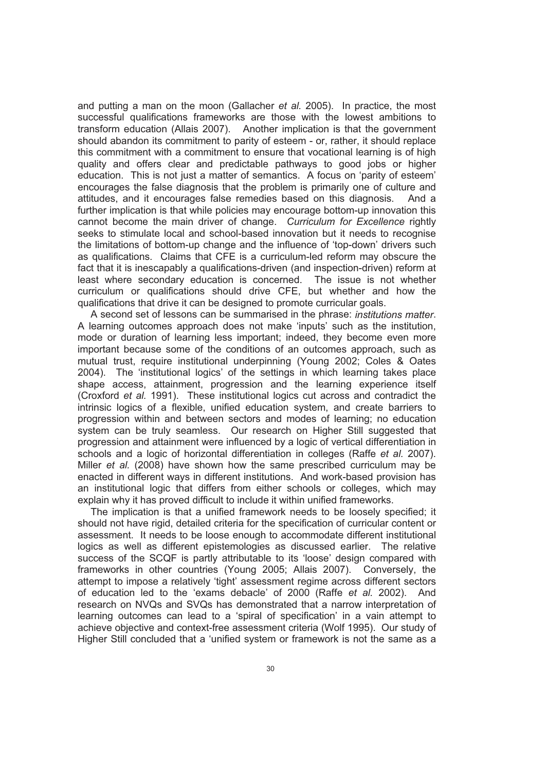and putting a man on the moon (Gallacher *et al.* 2005). In practice, the most successful qualifications frameworks are those with the lowest ambitions to transform education (Allais 2007). Another implication is that the government should abandon its commitment to parity of esteem - or, rather, it should replace this commitment with a commitment to ensure that vocational learning is of high quality and offers clear and predictable pathways to good jobs or higher education. This is not just a matter of semantics. A focus on 'parity of esteem' encourages the false diagnosis that the problem is primarily one of culture and attitudes, and it encourages false remedies based on this diagnosis. And a further implication is that while policies may encourage bottom-up innovation this cannot become the main driver of change. *Curriculum for Excellence* rightly seeks to stimulate local and school-based innovation but it needs to recognise the limitations of bottom-up change and the influence of 'top-down' drivers such as qualifications. Claims that CFE is a curriculum-led reform may obscure the fact that it is inescapably a qualifications-driven (and inspection-driven) reform at least where secondary education is concerned. The issue is not whether curriculum or qualifications should drive CFE, but whether and how the qualifications that drive it can be designed to promote curricular goals.

A second set of lessons can be summarised in the phrase: *institutions matter*. A learning outcomes approach does not make 'inputs' such as the institution, mode or duration of learning less important; indeed, they become even more important because some of the conditions of an outcomes approach, such as mutual trust, require institutional underpinning (Young 2002; Coles & Oates 2004). The 'institutional logics' of the settings in which learning takes place shape access, attainment, progression and the learning experience itself (Croxford *et al.* 1991). These institutional logics cut across and contradict the intrinsic logics of a flexible, unified education system, and create barriers to progression within and between sectors and modes of learning; no education system can be truly seamless. Our research on Higher Still suggested that progression and attainment were influenced by a logic of vertical differentiation in schools and a logic of horizontal differentiation in colleges (Raffe *et al.* 2007). Miller *et al.* (2008) have shown how the same prescribed curriculum may be enacted in different ways in different institutions. And work-based provision has an institutional logic that differs from either schools or colleges, which may explain why it has proved difficult to include it within unified frameworks.

The implication is that a unified framework needs to be loosely specified; it should not have rigid, detailed criteria for the specification of curricular content or assessment. It needs to be loose enough to accommodate different institutional logics as well as different epistemologies as discussed earlier. The relative success of the SCQF is partly attributable to its 'loose' design compared with frameworks in other countries (Young 2005; Allais 2007). Conversely, the attempt to impose a relatively 'tight' assessment regime across different sectors of education led to the 'exams debacle' of 2000 (Raffe *et al.* 2002). And research on NVQs and SVQs has demonstrated that a narrow interpretation of learning outcomes can lead to a 'spiral of specification' in a vain attempt to achieve objective and context-free assessment criteria (Wolf 1995). Our study of Higher Still concluded that a 'unified system or framework is not the same as a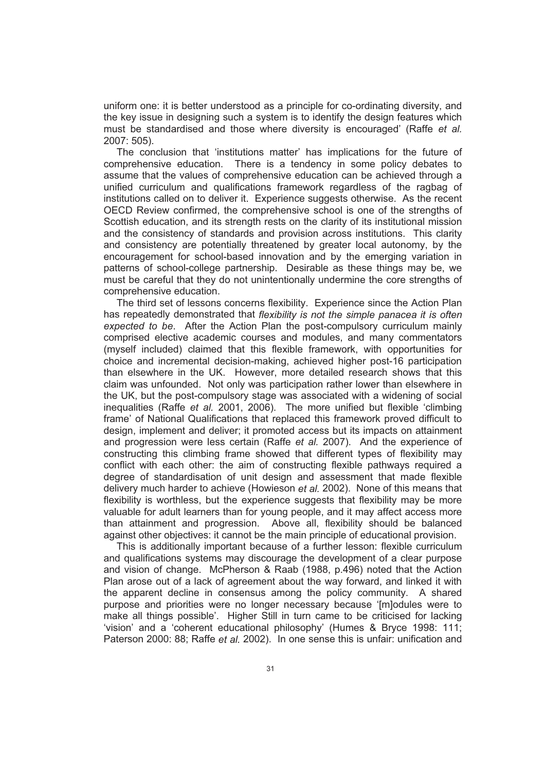uniform one: it is better understood as a principle for co-ordinating diversity, and the key issue in designing such a system is to identify the design features which must be standardised and those where diversity is encouraged' (Raffe *et al.* 2007: 505).

The conclusion that 'institutions matter' has implications for the future of comprehensive education. There is a tendency in some policy debates to assume that the values of comprehensive education can be achieved through a unified curriculum and qualifications framework regardless of the ragbag of institutions called on to deliver it. Experience suggests otherwise. As the recent OECD Review confirmed, the comprehensive school is one of the strengths of Scottish education, and its strength rests on the clarity of its institutional mission and the consistency of standards and provision across institutions. This clarity and consistency are potentially threatened by greater local autonomy, by the encouragement for school-based innovation and by the emerging variation in patterns of school-college partnership. Desirable as these things may be, we must be careful that they do not unintentionally undermine the core strengths of comprehensive education.

The third set of lessons concerns flexibility. Experience since the Action Plan has repeatedly demonstrated that *flexibility is not the simple panacea it is often expected to be*. After the Action Plan the post-compulsory curriculum mainly comprised elective academic courses and modules, and many commentators (myself included) claimed that this flexible framework, with opportunities for choice and incremental decision-making, achieved higher post-16 participation than elsewhere in the UK. However, more detailed research shows that this claim was unfounded. Not only was participation rather lower than elsewhere in the UK, but the post-compulsory stage was associated with a widening of social inequalities (Raffe *et al.* 2001, 2006). The more unified but flexible 'climbing frame' of National Qualifications that replaced this framework proved difficult to design, implement and deliver; it promoted access but its impacts on attainment and progression were less certain (Raffe *et al.* 2007). And the experience of constructing this climbing frame showed that different types of flexibility may conflict with each other: the aim of constructing flexible pathways required a degree of standardisation of unit design and assessment that made flexible delivery much harder to achieve (Howieson *et al.* 2002). None of this means that flexibility is worthless, but the experience suggests that flexibility may be more valuable for adult learners than for young people, and it may affect access more than attainment and progression. Above all, flexibility should be balanced against other objectives: it cannot be the main principle of educational provision.

This is additionally important because of a further lesson: flexible curriculum and qualifications systems may discourage the development of a clear purpose and vision of change. McPherson & Raab (1988, p.496) noted that the Action Plan arose out of a lack of agreement about the way forward, and linked it with the apparent decline in consensus among the policy community. A shared purpose and priorities were no longer necessary because '[m]odules were to make all things possible'. Higher Still in turn came to be criticised for lacking 'vision' and a 'coherent educational philosophy' (Humes & Bryce 1998: 111; Paterson 2000: 88; Raffe *et al.* 2002). In one sense this is unfair: unification and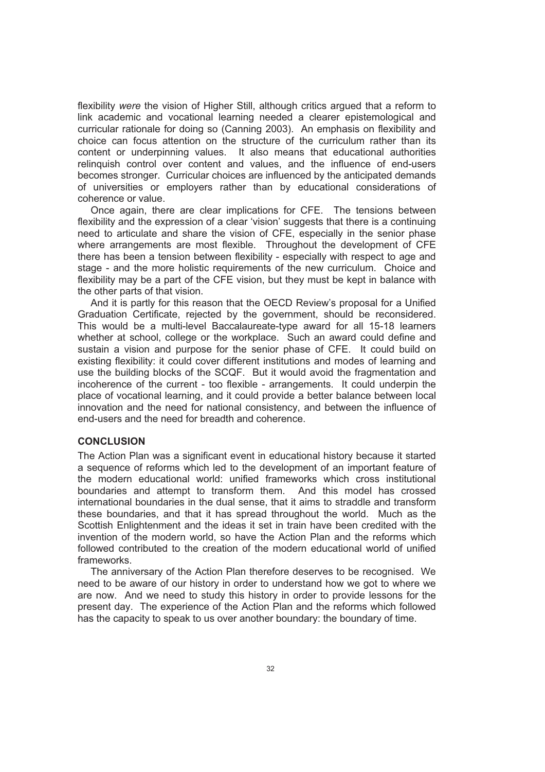flexibility *were* the vision of Higher Still, although critics argued that a reform to link academic and vocational learning needed a clearer epistemological and curricular rationale for doing so (Canning 2003). An emphasis on flexibility and choice can focus attention on the structure of the curriculum rather than its content or underpinning values. It also means that educational authorities relinquish control over content and values, and the influence of end-users becomes stronger. Curricular choices are influenced by the anticipated demands of universities or employers rather than by educational considerations of coherence or value.

Once again, there are clear implications for CFE. The tensions between flexibility and the expression of a clear 'vision' suggests that there is a continuing need to articulate and share the vision of CFE, especially in the senior phase where arrangements are most flexible. Throughout the development of CFE there has been a tension between flexibility - especially with respect to age and stage - and the more holistic requirements of the new curriculum. Choice and flexibility may be a part of the CFE vision, but they must be kept in balance with the other parts of that vision.

And it is partly for this reason that the OECD Review's proposal for a Unified Graduation Certificate, rejected by the government, should be reconsidered. This would be a multi-level Baccalaureate-type award for all 15-18 learners whether at school, college or the workplace. Such an award could define and sustain a vision and purpose for the senior phase of CFE. It could build on existing flexibility: it could cover different institutions and modes of learning and use the building blocks of the SCQF. But it would avoid the fragmentation and incoherence of the current - too flexible - arrangements. It could underpin the place of vocational learning, and it could provide a better balance between local innovation and the need for national consistency, and between the influence of end-users and the need for breadth and coherence.

#### **CONCLUSION**

The Action Plan was a significant event in educational history because it started a sequence of reforms which led to the development of an important feature of the modern educational world: unified frameworks which cross institutional boundaries and attempt to transform them. And this model has crossed international boundaries in the dual sense, that it aims to straddle and transform these boundaries, and that it has spread throughout the world. Much as the Scottish Enlightenment and the ideas it set in train have been credited with the invention of the modern world, so have the Action Plan and the reforms which followed contributed to the creation of the modern educational world of unified frameworks.

The anniversary of the Action Plan therefore deserves to be recognised. We need to be aware of our history in order to understand how we got to where we are now. And we need to study this history in order to provide lessons for the present day. The experience of the Action Plan and the reforms which followed has the capacity to speak to us over another boundary: the boundary of time.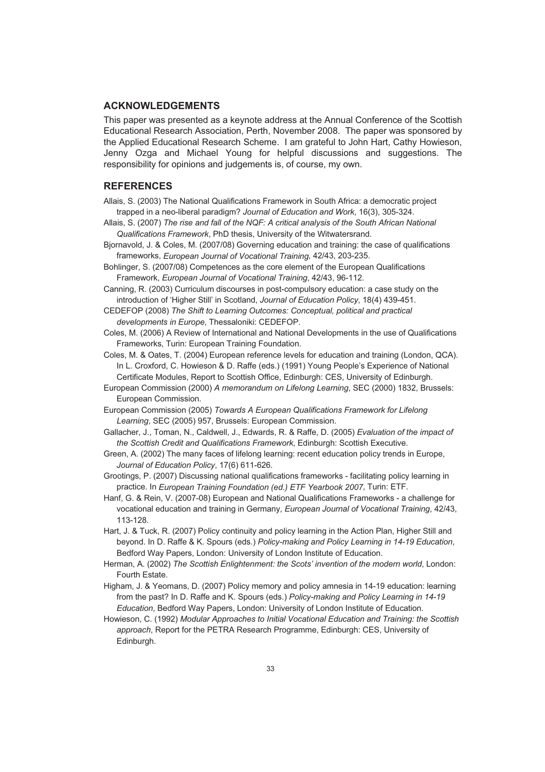#### **ACKNOWLEDGEMENTS**

This paper was presented as a keynote address at the Annual Conference of the Scottish Educational Research Association, Perth, November 2008. The paper was sponsored by the Applied Educational Research Scheme. I am grateful to John Hart, Cathy Howieson, Jenny Ozga and Michael Young for helpful discussions and suggestions. The responsibility for opinions and judgements is, of course, my own.

#### **REFERENCES**

- Allais, S. (2003) The National Qualifications Framework in South Africa: a democratic project trapped in a neo-liberal paradigm? *Journal of Education and Work*, 16(3), 305-324.
- Allais, S. (2007) *The rise and fall of the NQF: A critical analysis of the South African National Qualifications Framework*, PhD thesis, University of the Witwatersrand.
- Bjornavold, J. & Coles, M. (2007/08) Governing education and training: the case of qualifications frameworks, *European Journal of Vocational Training*, 42/43, 203-235.
- Bohlinger, S. (2007/08) Competences as the core element of the European Qualifications Framework, *European Journal of Vocational Training*, 42/43, 96-112.
- Canning, R. (2003) Curriculum discourses in post-compulsory education: a case study on the introduction of 'Higher Still' in Scotland, *Journal of Education Policy*, 18(4) 439-451.
- CEDEFOP (2008) *The Shift to Learning Outcomes: Conceptual, political and practical developments in Europe*, Thessaloniki: CEDEFOP.
- Coles, M. (2006) A Review of International and National Developments in the use of Qualifications Frameworks, Turin: European Training Foundation.
- Coles, M. & Oates, T. (2004) European reference levels for education and training (London, QCA). In L. Croxford, C. Howieson & D. Raffe (eds.) (1991) Young People's Experience of National Certificate Modules, Report to Scottish Office, Edinburgh: CES, University of Edinburgh.
- European Commission (2000) *A memorandum on Lifelong Learning*, SEC (2000) 1832, Brussels: European Commission.
- European Commission (2005) *Towards A European Qualifications Framework for Lifelong Learning*, SEC (2005) 957, Brussels: European Commission.
- Gallacher, J., Toman, N., Caldwell, J., Edwards, R. & Raffe, D. (2005) *Evaluation of the impact of the Scottish Credit and Qualifications Framework*, Edinburgh: Scottish Executive.
- Green, A. (2002) The many faces of lifelong learning: recent education policy trends in Europe, *Journal of Education Policy*, 17(6) 611-626.
- Grootings, P. (2007) Discussing national qualifications frameworks facilitating policy learning in practice. In *European Training Foundation (ed.) ETF Yearbook 2007*, Turin: ETF.
- Hanf, G. & Rein, V. (2007-08) European and National Qualifications Frameworks a challenge for vocational education and training in Germany, *European Journal of Vocational Training*, 42/43, 113-128.
- Hart, J. & Tuck, R. (2007) Policy continuity and policy learning in the Action Plan, Higher Still and beyond. In D. Raffe & K. Spours (eds.) *Policy-making and Policy Learning in 14-19 Education*, Bedford Way Papers, London: University of London Institute of Education.
- Herman, A. (2002) *The Scottish Enlightenment: the Scots' invention of the modern world*, London: Fourth Estate.
- Higham, J. & Yeomans, D. (2007) Policy memory and policy amnesia in 14-19 education: learning from the past? In D. Raffe and K. Spours (eds.) *Policy-making and Policy Learning in 14-19 Education*, Bedford Way Papers, London: University of London Institute of Education.
- Howieson, C. (1992) *Modular Approaches to Initial Vocational Education and Training: the Scottish approach*, Report for the PETRA Research Programme, Edinburgh: CES, University of Edinburgh.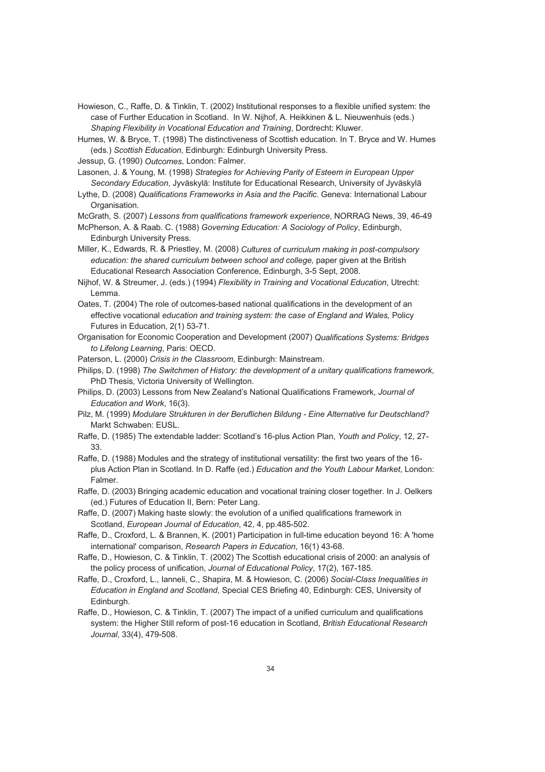Howieson, C., Raffe, D. & Tinklin, T. (2002) Institutional responses to a flexible unified system: the case of Further Education in Scotland. In W. Nijhof, A. Heikkinen & L. Nieuwenhuis (eds.) *Shaping Flexibility in Vocational Education and Training*, Dordrecht: Kluwer.

Humes, W. & Bryce, T. (1998) The distinctiveness of Scottish education. In T. Bryce and W. Humes (eds.) *Scottish Education*, Edinburgh: Edinburgh University Press.

Jessup, G. (1990) *Outcomes*, London: Falmer.

Lasonen, J. & Young, M. (1998) *Strategies for Achieving Parity of Esteem in European Upper Secondary Education*, Jyväskylä: Institute for Educational Research, University of Jyväskylä

Lythe, D. (2008) *Qualifications Frameworks in Asia and the Pacific*. Geneva: International Labour Organisation.

McGrath, S. (2007) *Lessons from qualifications framework experience*, NORRAG News, 39, 46-49

McPherson, A. & Raab. C. (1988) *Governing Education: A Sociology of Policy*, Edinburgh, Edinburgh University Press.

Miller, K., Edwards, R. & Priestley, M. (2008) *Cultures of curriculum making in post-compulsory education: the shared curriculum between school and college,* paper given at the British Educational Research Association Conference, Edinburgh, 3-5 Sept, 2008.

Nijhof, W. & Streumer, J. (eds.) (1994) *Flexibility in Training and Vocational Education*, Utrecht: Lemma.

Oates, T. (2004) The role of outcomes-based national qualifications in the development of an effective vocational *education and training system: the case of England and Wales,* Policy Futures in Education, 2(1) 53-71.

Organisation for Economic Cooperation and Development (2007) *Qualifications Systems: Bridges to Lifelong Learning*, Paris: OECD.

Paterson, L. (2000) *Crisis in the Classroom*, Edinburgh: Mainstream.

Philips, D. (1998) *The Switchmen of History: the development of a unitary qualifications framework*, PhD Thesis, Victoria University of Wellington.

Philips, D. (2003) Lessons from New Zealand's National Qualifications Framework, *Journal of Education and Work*, 16(3).

Pilz, M. (1999) *Modulare Strukturen in der Beruflichen Bildung - Eine Alternative fur Deutschland?* Markt Schwaben: EUSL.

Raffe, D. (1985) The extendable ladder: Scotland's 16-plus Action Plan, *Youth and Policy*, 12, 27- 33.

Raffe, D. (1988) Modules and the strategy of institutional versatility: the first two years of the 16 plus Action Plan in Scotland. In D. Raffe (ed.) *Education and the Youth Labour Market*, London: Falmer.

Raffe, D. (2003) Bringing academic education and vocational training closer together. In J. Oelkers (ed.) Futures of Education II, Bern: Peter Lang.

Raffe, D. (2007) Making haste slowly: the evolution of a unified qualifications framework in Scotland, *European Journal of Education*, 42, 4, pp.485-502.

Raffe, D., Croxford, L. & Brannen, K. (2001) Participation in full-time education beyond 16: A 'home international' comparison, *Research Papers in Education*, 16(1) 43-68.

Raffe, D., Howieson, C. & Tinklin, T. (2002) The Scottish educational crisis of 2000: an analysis of the policy process of unification, *Journal of Educational Policy*, 17(2), 167-185.

Raffe, D., Croxford, L., Ianneli, C., Shapira, M. & Howieson, C. (2006) *Social-Class Inequalities in Education in England and Scotland*, Special CES Briefing 40, Edinburgh: CES, University of Edinburgh.

Raffe, D., Howieson, C. & Tinklin, T. (2007) The impact of a unified curriculum and qualifications system: the Higher Still reform of post-16 education in Scotland, *British Educational Research Journal*, 33(4), 479-508.